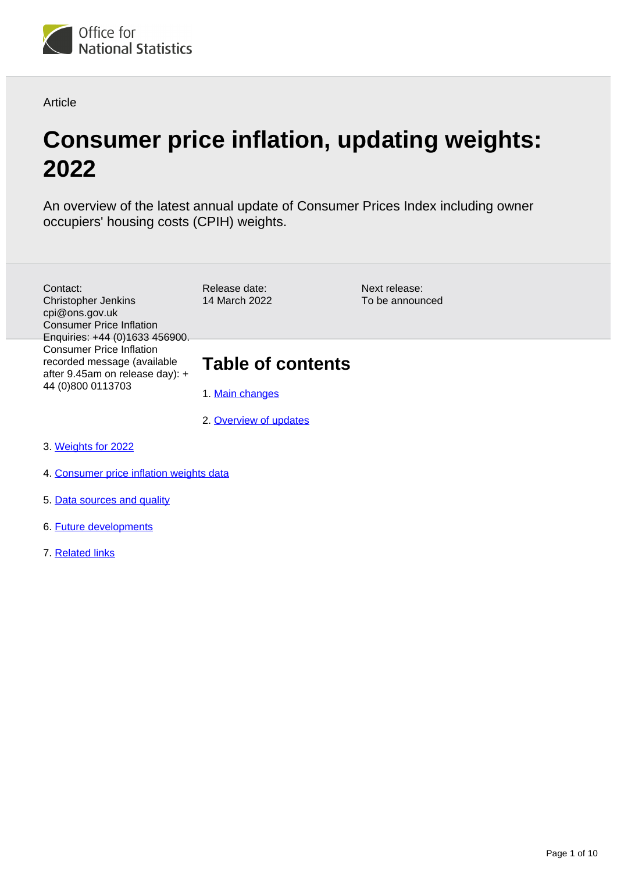

**Article** 

# **Consumer price inflation, updating weights: 2022**

An overview of the latest annual update of Consumer Prices Index including owner occupiers' housing costs (CPIH) weights.

- Contact: Christopher Jenkins cpi@ons.gov.uk Consumer Price Inflation Enquiries: +44 (0)1633 456900. Consumer Price Inflation recorded message (available after 9.45am on release day): + 44 (0)800 0113703
- Release date: 14 March 2022

Next release: To be announced

### **Table of contents**

- 1. [Main changes](#page-1-0)
- 2. [Overview of updates](#page-1-1)
- 3. [Weights for 2022](#page-1-2)
- 4. [Consumer price inflation weights data](#page-7-0)
- 5. [Data sources and quality](#page-8-0)
- 6. [Future developments](#page-9-0)
- 7. [Related links](#page-9-1)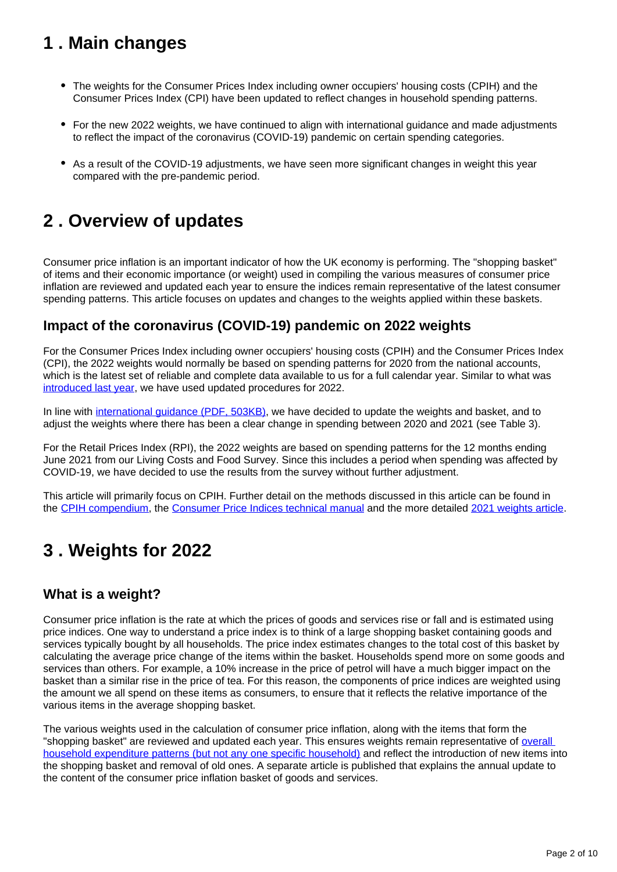## <span id="page-1-0"></span>**1 . Main changes**

- The weights for the Consumer Prices Index including owner occupiers' housing costs (CPIH) and the Consumer Prices Index (CPI) have been updated to reflect changes in household spending patterns.
- For the new 2022 weights, we have continued to align with international guidance and made adjustments to reflect the impact of the coronavirus (COVID-19) pandemic on certain spending categories.
- As a result of the COVID-19 adjustments, we have seen more significant changes in weight this year compared with the pre-pandemic period.

## <span id="page-1-1"></span>**2 . Overview of updates**

Consumer price inflation is an important indicator of how the UK economy is performing. The "shopping basket" of items and their economic importance (or weight) used in compiling the various measures of consumer price inflation are reviewed and updated each year to ensure the indices remain representative of the latest consumer spending patterns. This article focuses on updates and changes to the weights applied within these baskets.

### **Impact of the coronavirus (COVID-19) pandemic on 2022 weights**

For the Consumer Prices Index including owner occupiers' housing costs (CPIH) and the Consumer Prices Index (CPI), the 2022 weights would normally be based on spending patterns for 2020 from the national accounts, which is the latest set of reliable and complete data available to us for a full calendar year. Similar to what was [introduced last year,](https://www.ons.gov.uk/economy/inflationandpriceindices/articles/coronaviruscovid19andconsumerpriceinflationweightsandprices/2021) we have used updated procedures for 2022.

In line with [international guidance \(PDF, 503KB\),](https://ec.europa.eu/eurostat/documents/10186/10693286/Derivation-of-HICP-weights-for-2022.pdf) we have decided to update the weights and basket, and to adjust the weights where there has been a clear change in spending between 2020 and 2021 (see Table 3).

For the Retail Prices Index (RPI), the 2022 weights are based on spending patterns for the 12 months ending June 2021 from our Living Costs and Food Survey. Since this includes a period when spending was affected by COVID-19, we have decided to use the results from the survey without further adjustment.

This article will primarily focus on CPIH. Further detail on the methods discussed in this article can be found in the [CPIH compendium,](https://www.ons.gov.uk/economy/inflationandpriceindices/articles/cpihcompendium/2016-10-13) the [Consumer Price Indices technical manual](https://www.ons.gov.uk/economy/inflationandpriceindices/methodologies/consumerpricesindicestechnicalmanual2019) and the more detailed [2021 weights article](https://www.ons.gov.uk/economy/inflationandpriceindices/articles/consumerpriceinflationupdatingweights/2021).

## <span id="page-1-2"></span>**3 . Weights for 2022**

### **What is a weight?**

Consumer price inflation is the rate at which the prices of goods and services rise or fall and is estimated using price indices. One way to understand a price index is to think of a large shopping basket containing goods and services typically bought by all households. The price index estimates changes to the total cost of this basket by calculating the average price change of the items within the basket. Households spend more on some goods and services than others. For example, a 10% increase in the price of petrol will have a much bigger impact on the basket than a similar rise in the price of tea. For this reason, the components of price indices are weighted using the amount we all spend on these items as consumers, to ensure that it reflects the relative importance of the various items in the average shopping basket.

The various weights used in the calculation of consumer price inflation, along with the items that form the "shopping basket" are reviewed and updated each year. This ensures weights remain representative of overall [household expenditure patterns \(but not any one specific household\)](https://blog.ons.gov.uk/2022/01/26/measuring-the-changing-prices-and-costs-faced-by-households/) and reflect the introduction of new items into the shopping basket and removal of old ones. A separate article is published that explains the annual update to the content of the consumer price inflation basket of goods and services.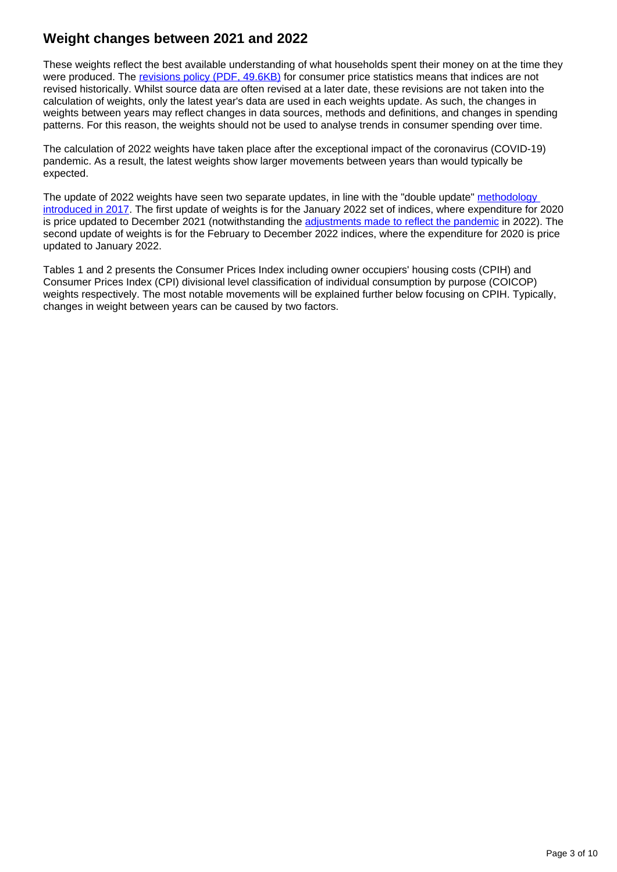### **Weight changes between 2021 and 2022**

These weights reflect the best available understanding of what households spent their money on at the time they were produced. The [revisions policy \(PDF, 49.6KB\)](http://www.ons.gov.uk/ons/guide-method/user-guidance/prices/cpi-and-rpi/consumer-price-inflation-revisions-policy-october-2013.pdf) for consumer price statistics means that indices are not revised historically. Whilst source data are often revised at a later date, these revisions are not taken into the calculation of weights, only the latest year's data are used in each weights update. As such, the changes in weights between years may reflect changes in data sources, methods and definitions, and changes in spending patterns. For this reason, the weights should not be used to analyse trends in consumer spending over time.

The calculation of 2022 weights have taken place after the exceptional impact of the coronavirus (COVID-19) pandemic. As a result, the latest weights show larger movements between years than would typically be expected.

The update of 2022 weights have seen two separate updates, in line with the "double update" methodology [introduced in 2017.](https://www.ons.gov.uk/economy/inflationandpriceindices/methodologies/assessingtheimpactofmethodologicalimprovementsontheconsumerpricesindex) The first update of weights is for the January 2022 set of indices, where expenditure for 2020 is price updated to December 2021 (notwithstanding the [adjustments made to reflect the pandemic](http://www.ons.gov.uk/economy/inflationandpriceindices/bulletins/consumerpriceinflation/latest#measuring-the-data) in 2022). The second update of weights is for the February to December 2022 indices, where the expenditure for 2020 is price updated to January 2022.

Tables 1 and 2 presents the Consumer Prices Index including owner occupiers' housing costs (CPIH) and Consumer Prices Index (CPI) divisional level classification of individual consumption by purpose (COICOP) weights respectively. The most notable movements will be explained further below focusing on CPIH. Typically, changes in weight between years can be caused by two factors.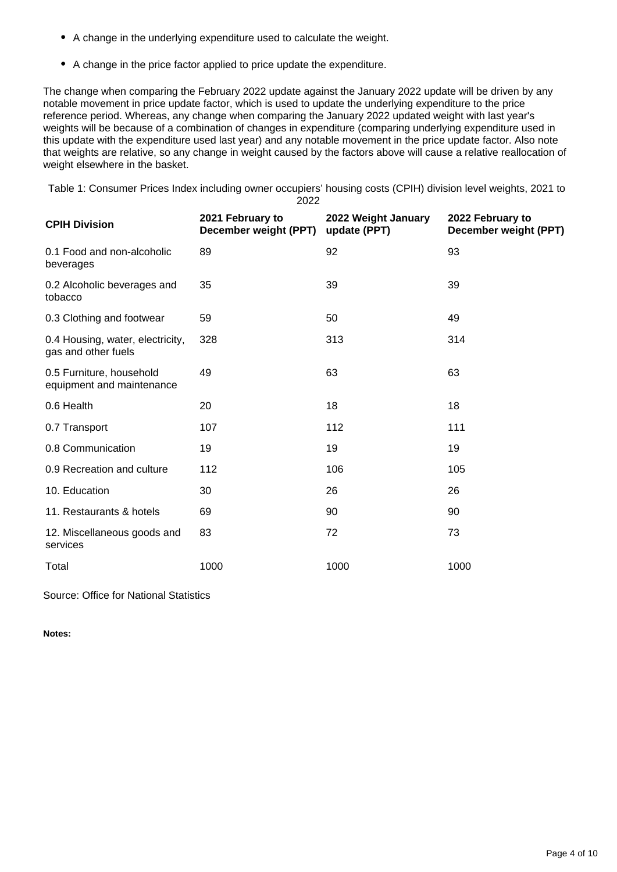- A change in the underlying expenditure used to calculate the weight.
- A change in the price factor applied to price update the expenditure.

The change when comparing the February 2022 update against the January 2022 update will be driven by any notable movement in price update factor, which is used to update the underlying expenditure to the price reference period. Whereas, any change when comparing the January 2022 updated weight with last year's weights will be because of a combination of changes in expenditure (comparing underlying expenditure used in this update with the expenditure used last year) and any notable movement in the price update factor. Also note that weights are relative, so any change in weight caused by the factors above will cause a relative reallocation of weight elsewhere in the basket.

Table 1: Consumer Prices Index including owner occupiers' housing costs (CPIH) division level weights, 2021 to 2022

| <b>CPIH Division</b>                                    | 2021 February to<br>December weight (PPT) | 2022 Weight January<br>update (PPT) | 2022 February to<br>December weight (PPT) |
|---------------------------------------------------------|-------------------------------------------|-------------------------------------|-------------------------------------------|
| 0.1 Food and non-alcoholic<br>beverages                 | 89                                        | 92                                  | 93                                        |
| 0.2 Alcoholic beverages and<br>tobacco                  | 35                                        | 39                                  | 39                                        |
| 0.3 Clothing and footwear                               | 59                                        | 50                                  | 49                                        |
| 0.4 Housing, water, electricity,<br>gas and other fuels | 328                                       | 313                                 | 314                                       |
| 0.5 Furniture, household<br>equipment and maintenance   | 49                                        | 63                                  | 63                                        |
| 0.6 Health                                              | 20                                        | 18                                  | 18                                        |
| 0.7 Transport                                           | 107                                       | 112                                 | 111                                       |
| 0.8 Communication                                       | 19                                        | 19                                  | 19                                        |
| 0.9 Recreation and culture                              | 112                                       | 106                                 | 105                                       |
| 10. Education                                           | 30                                        | 26                                  | 26                                        |
| 11. Restaurants & hotels                                | 69                                        | 90                                  | 90                                        |
| 12. Miscellaneous goods and<br>services                 | 83                                        | 72                                  | 73                                        |
| Total                                                   | 1000                                      | 1000                                | 1000                                      |
|                                                         |                                           |                                     |                                           |

Source: Office for National Statistics

**Notes:**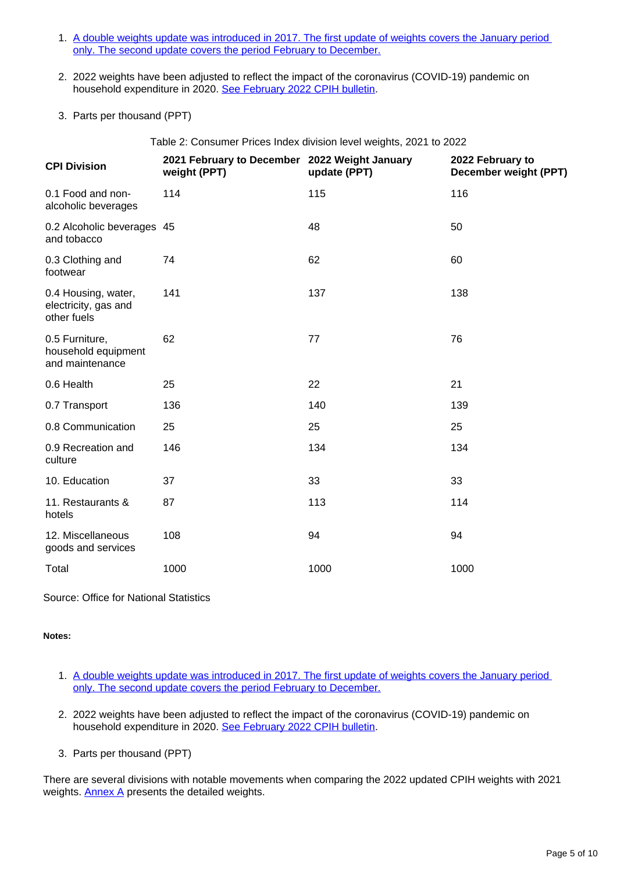- 1. [A double weights update was introduced in 2017. The first update of weights covers the January period](https://www.ons.gov.uk/economy/inflationandpriceindices/methodologies/assessingtheimpactofmethodologicalimprovementsontheconsumerpricesindex#annex-a-application-of-the-double-chain-link-and-the-introduction-of-coicop5)  [only. The second update covers the period February to December.](https://www.ons.gov.uk/economy/inflationandpriceindices/methodologies/assessingtheimpactofmethodologicalimprovementsontheconsumerpricesindex#annex-a-application-of-the-double-chain-link-and-the-introduction-of-coicop5)
- 2. 2022 weights have been adjusted to reflect the impact of the coronavirus (COVID-19) pandemic on household expenditure in 2020. [See February 2022 CPIH bulletin](https://www.ons.gov.uk/economy/inflationandpriceindices/bulletins/consumerpriceinflation/latest#measuring-the-data).
- 3. Parts per thousand (PPT)

Table 2: Consumer Prices Index division level weights, 2021 to 2022

| <b>CPI Division</b>                                        | 2021 February to December 2022 Weight January<br>weight (PPT) | update (PPT) | 2022 February to<br>December weight (PPT) |
|------------------------------------------------------------|---------------------------------------------------------------|--------------|-------------------------------------------|
| 0.1 Food and non-<br>alcoholic beverages                   | 114                                                           | 115          | 116                                       |
| 0.2 Alcoholic beverages 45<br>and tobacco                  |                                                               | 48           | 50                                        |
| 0.3 Clothing and<br>footwear                               | 74                                                            | 62           | 60                                        |
| 0.4 Housing, water,<br>electricity, gas and<br>other fuels | 141                                                           | 137          | 138                                       |
| 0.5 Furniture,<br>household equipment<br>and maintenance   | 62                                                            | 77           | 76                                        |
| 0.6 Health                                                 | 25                                                            | 22           | 21                                        |
| 0.7 Transport                                              | 136                                                           | 140          | 139                                       |
| 0.8 Communication                                          | 25                                                            | 25           | 25                                        |
| 0.9 Recreation and<br>culture                              | 146                                                           | 134          | 134                                       |
| 10. Education                                              | 37                                                            | 33           | 33                                        |
| 11. Restaurants &<br>hotels                                | 87                                                            | 113          | 114                                       |
| 12. Miscellaneous<br>goods and services                    | 108                                                           | 94           | 94                                        |
| Total                                                      | 1000                                                          | 1000         | 1000                                      |
|                                                            |                                                               |              |                                           |

Source: Office for National Statistics

#### **Notes:**

- 1. [A double weights update was introduced in 2017. The first update of weights covers the January period](https://www.ons.gov.uk/economy/inflationandpriceindices/methodologies/assessingtheimpactofmethodologicalimprovementsontheconsumerpricesindex#annex-a-application-of-the-double-chain-link-and-the-introduction-of-coicop5)  [only. The second update covers the period February to December.](https://www.ons.gov.uk/economy/inflationandpriceindices/methodologies/assessingtheimpactofmethodologicalimprovementsontheconsumerpricesindex#annex-a-application-of-the-double-chain-link-and-the-introduction-of-coicop5)
- 2. 2022 weights have been adjusted to reflect the impact of the coronavirus (COVID-19) pandemic on household expenditure in 2020. [See February 2022 CPIH bulletin](https://www.ons.gov.uk/economy/inflationandpriceindices/bulletins/consumerpriceinflation/latest#measuring-the-data).
- 3. Parts per thousand (PPT)

There are several divisions with notable movements when comparing the 2022 updated CPIH weights with 2021 weights. **Annex A** presents the detailed weights.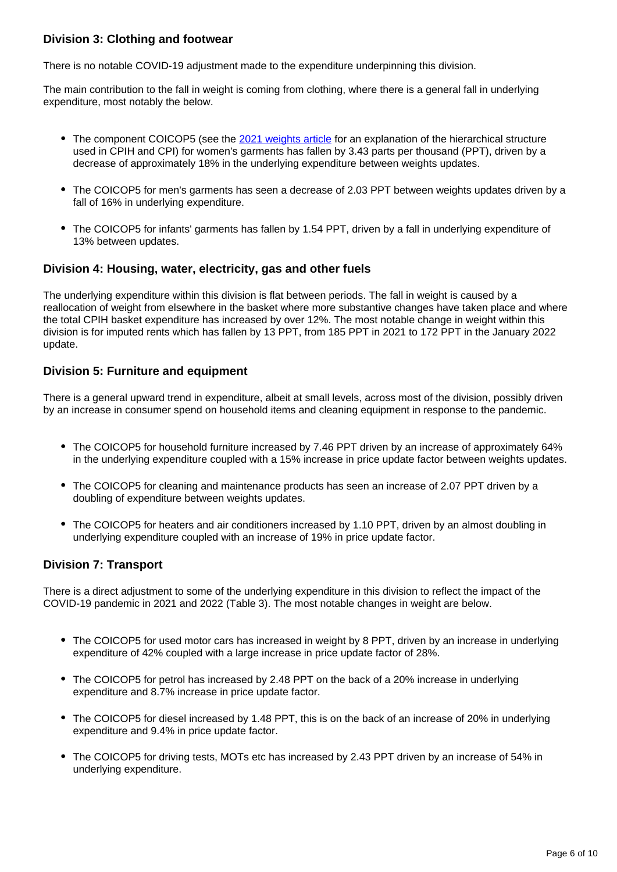#### **Division 3: Clothing and footwear**

There is no notable COVID-19 adjustment made to the expenditure underpinning this division.

The main contribution to the fall in weight is coming from clothing, where there is a general fall in underlying expenditure, most notably the below.

- The component COICOP5 (see the [2021 weights article](https://www.ons.gov.uk/economy/inflationandpriceindices/articles/consumerpriceinflationupdatingweights/2021#weights-for-2021) for an explanation of the hierarchical structure used in CPIH and CPI) for women's garments has fallen by 3.43 parts per thousand (PPT), driven by a decrease of approximately 18% in the underlying expenditure between weights updates.
- The COICOP5 for men's garments has seen a decrease of 2.03 PPT between weights updates driven by a fall of 16% in underlying expenditure.
- The COICOP5 for infants' garments has fallen by 1.54 PPT, driven by a fall in underlying expenditure of 13% between updates.

#### **Division 4: Housing, water, electricity, gas and other fuels**

The underlying expenditure within this division is flat between periods. The fall in weight is caused by a reallocation of weight from elsewhere in the basket where more substantive changes have taken place and where the total CPIH basket expenditure has increased by over 12%. The most notable change in weight within this division is for imputed rents which has fallen by 13 PPT, from 185 PPT in 2021 to 172 PPT in the January 2022 update.

#### **Division 5: Furniture and equipment**

There is a general upward trend in expenditure, albeit at small levels, across most of the division, possibly driven by an increase in consumer spend on household items and cleaning equipment in response to the pandemic.

- The COICOP5 for household furniture increased by 7.46 PPT driven by an increase of approximately 64% in the underlying expenditure coupled with a 15% increase in price update factor between weights updates.
- The COICOP5 for cleaning and maintenance products has seen an increase of 2.07 PPT driven by a doubling of expenditure between weights updates.
- The COICOP5 for heaters and air conditioners increased by 1.10 PPT, driven by an almost doubling in underlying expenditure coupled with an increase of 19% in price update factor.

#### **Division 7: Transport**

There is a direct adjustment to some of the underlying expenditure in this division to reflect the impact of the COVID-19 pandemic in 2021 and 2022 (Table 3). The most notable changes in weight are below.

- The COICOP5 for used motor cars has increased in weight by 8 PPT, driven by an increase in underlying expenditure of 42% coupled with a large increase in price update factor of 28%.
- The COICOP5 for petrol has increased by 2.48 PPT on the back of a 20% increase in underlying expenditure and 8.7% increase in price update factor.
- The COICOP5 for diesel increased by 1.48 PPT, this is on the back of an increase of 20% in underlying expenditure and 9.4% in price update factor.
- The COICOP5 for driving tests, MOTs etc has increased by 2.43 PPT driven by an increase of 54% in underlying expenditure.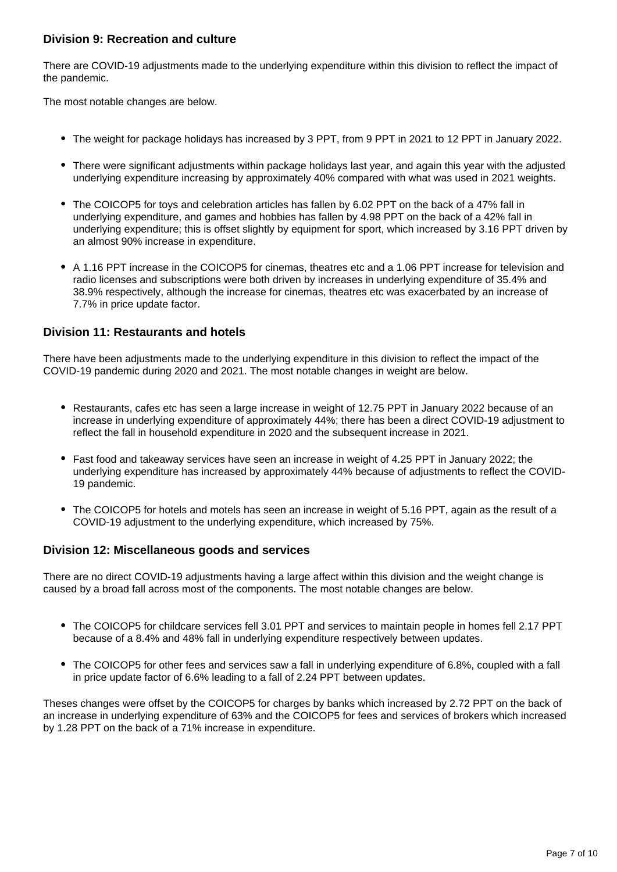#### **Division 9: Recreation and culture**

There are COVID-19 adjustments made to the underlying expenditure within this division to reflect the impact of the pandemic.

The most notable changes are below.

- The weight for package holidays has increased by 3 PPT, from 9 PPT in 2021 to 12 PPT in January 2022.
- There were significant adjustments within package holidays last year, and again this year with the adjusted underlying expenditure increasing by approximately 40% compared with what was used in 2021 weights.
- The COICOP5 for toys and celebration articles has fallen by 6.02 PPT on the back of a 47% fall in underlying expenditure, and games and hobbies has fallen by 4.98 PPT on the back of a 42% fall in underlying expenditure; this is offset slightly by equipment for sport, which increased by 3.16 PPT driven by an almost 90% increase in expenditure.
- A 1.16 PPT increase in the COICOP5 for cinemas, theatres etc and a 1.06 PPT increase for television and radio licenses and subscriptions were both driven by increases in underlying expenditure of 35.4% and 38.9% respectively, although the increase for cinemas, theatres etc was exacerbated by an increase of 7.7% in price update factor.

#### **Division 11: Restaurants and hotels**

There have been adjustments made to the underlying expenditure in this division to reflect the impact of the COVID-19 pandemic during 2020 and 2021. The most notable changes in weight are below.

- Restaurants, cafes etc has seen a large increase in weight of 12.75 PPT in January 2022 because of an increase in underlying expenditure of approximately 44%; there has been a direct COVID-19 adjustment to reflect the fall in household expenditure in 2020 and the subsequent increase in 2021.
- Fast food and takeaway services have seen an increase in weight of 4.25 PPT in January 2022; the underlying expenditure has increased by approximately 44% because of adjustments to reflect the COVID-19 pandemic.
- The COICOP5 for hotels and motels has seen an increase in weight of 5.16 PPT, again as the result of a COVID-19 adjustment to the underlying expenditure, which increased by 75%.

#### **Division 12: Miscellaneous goods and services**

There are no direct COVID-19 adjustments having a large affect within this division and the weight change is caused by a broad fall across most of the components. The most notable changes are below.

- The COICOP5 for childcare services fell 3.01 PPT and services to maintain people in homes fell 2.17 PPT because of a 8.4% and 48% fall in underlying expenditure respectively between updates.
- The COICOP5 for other fees and services saw a fall in underlying expenditure of 6.8%, coupled with a fall in price update factor of 6.6% leading to a fall of 2.24 PPT between updates.

Theses changes were offset by the COICOP5 for charges by banks which increased by 2.72 PPT on the back of an increase in underlying expenditure of 63% and the COICOP5 for fees and services of brokers which increased by 1.28 PPT on the back of a 71% increase in expenditure.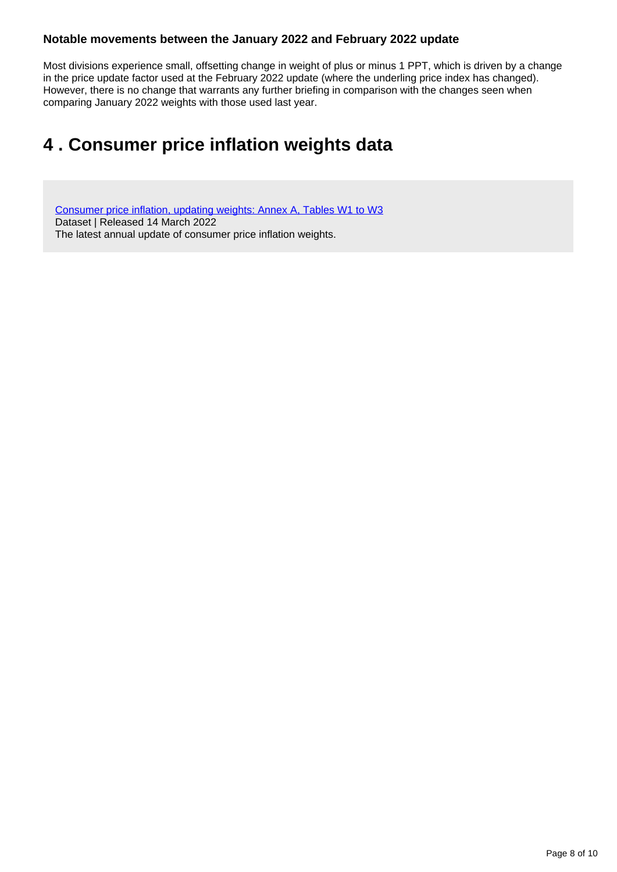#### **Notable movements between the January 2022 and February 2022 update**

Most divisions experience small, offsetting change in weight of plus or minus 1 PPT, which is driven by a change in the price update factor used at the February 2022 update (where the underling price index has changed). However, there is no change that warrants any further briefing in comparison with the changes seen when comparing January 2022 weights with those used last year.

### <span id="page-7-0"></span>**4 . Consumer price inflation weights data**

[Consumer price inflation, updating weights: Annex A, Tables W1 to W3](https://www.ons.gov.uk/economy/inflationandpriceindices/datasets/consumerpriceinflationupdatingweightsannexatablesw1tow3) Dataset | Released 14 March 2022 The latest annual update of consumer price inflation weights.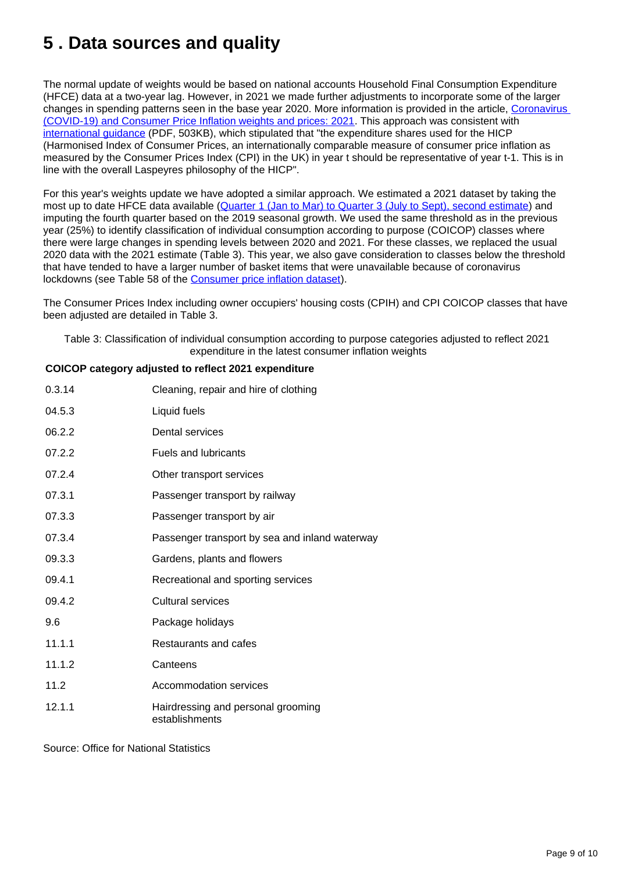## <span id="page-8-0"></span>**5 . Data sources and quality**

The normal update of weights would be based on national accounts Household Final Consumption Expenditure (HFCE) data at a two-year lag. However, in 2021 we made further adjustments to incorporate some of the larger changes in spending patterns seen in the base year 2020. More information is provided in the article, [Coronavirus](https://www.ons.gov.uk/economy/inflationandpriceindices/articles/coronaviruscovid19andconsumerpriceinflationweightsandprices/2021)  [\(COVID-19\) and Consumer Price Inflation weights and prices: 2021](https://www.ons.gov.uk/economy/inflationandpriceindices/articles/coronaviruscovid19andconsumerpriceinflationweightsandprices/2021). This approach was consistent with [international guidance](https://ec.europa.eu/eurostat/documents/10186/10693286/Guidance-on-the-compilation-of-HICP-weights-in-case-of-large-changes-in-consumer-expenditures.pdf) (PDF, 503KB), which stipulated that "the expenditure shares used for the HICP (Harmonised Index of Consumer Prices, an internationally comparable measure of consumer price inflation as measured by the Consumer Prices Index (CPI) in the UK) in year t should be representative of year t-1. This is in line with the overall Laspeyres philosophy of the HICP".

For this year's weights update we have adopted a similar approach. We estimated a 2021 dataset by taking the most up to date HFCE data available ([Quarter 1 \(Jan to Mar\) to Quarter 3 \(July to Sept\), second estimate](https://www.ons.gov.uk/economy/nationalaccounts/satelliteaccounts/bulletins/consumertrends/julytoseptember2021)) and imputing the fourth quarter based on the 2019 seasonal growth. We used the same threshold as in the previous year (25%) to identify classification of individual consumption according to purpose (COICOP) classes where there were large changes in spending levels between 2020 and 2021. For these classes, we replaced the usual 2020 data with the 2021 estimate (Table 3). This year, we also gave consideration to classes below the threshold that have tended to have a larger number of basket items that were unavailable because of coronavirus lockdowns (see Table 58 of the [Consumer price inflation dataset\)](https://www.ons.gov.uk/economy/inflationandpriceindices/datasets/consumerpriceinflation).

The Consumer Prices Index including owner occupiers' housing costs (CPIH) and CPI COICOP classes that have been adjusted are detailed in Table 3.

Table 3: Classification of individual consumption according to purpose categories adjusted to reflect 2021 expenditure in the latest consumer inflation weights

#### **COICOP category adjusted to reflect 2021 expenditure**

| 0.3.14 | Cleaning, repair and hire of clothing                |
|--------|------------------------------------------------------|
| 04.5.3 | Liquid fuels                                         |
| 06.2.2 | Dental services                                      |
| 07.2.2 | <b>Fuels and lubricants</b>                          |
| 07.2.4 | Other transport services                             |
| 07.3.1 | Passenger transport by railway                       |
| 07.3.3 | Passenger transport by air                           |
| 07.3.4 | Passenger transport by sea and inland waterway       |
| 09.3.3 | Gardens, plants and flowers                          |
| 09.4.1 | Recreational and sporting services                   |
| 09.4.2 | Cultural services                                    |
| 9.6    | Package holidays                                     |
| 11.1.1 | Restaurants and cafes                                |
| 11.1.2 | Canteens                                             |
| 11.2   | Accommodation services                               |
| 12.1.1 | Hairdressing and personal grooming<br>establishments |

Source: Office for National Statistics